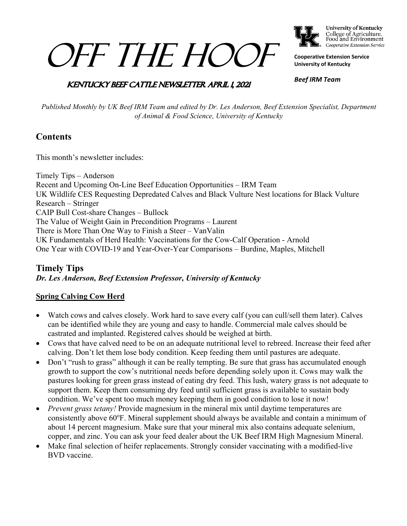# OFF THE HOOF



**University of Kentucky** College of Agriculture,<br>Food and Environment Cooperative Extension Service

**Cooperative Extension Service University of Kentucky**

### **KENTUCKY BEEF CATTLE NEWSLETTER APRIL 1, 2021**

*Beef IRM Team*

*Published Monthly by UK Beef IRM Team and edited by Dr. Les Anderson, Beef Extension Specialist, Department of Animal & Food Science, University of Kentucky*

### **Contents**

This month's newsletter includes:

Timely Tips – Anderson Recent and Upcoming On-Line Beef Education Opportunities – IRM Team UK Wildlife CES Requesting Depredated Calves and Black Vulture Nest locations for Black Vulture Research – Stringer CAIP Bull Cost-share Changes – Bullock The Value of Weight Gain in Precondition Programs – Laurent There is More Than One Way to Finish a Steer – VanValin UK Fundamentals of Herd Health: Vaccinations for the Cow-Calf Operation - Arnold One Year with COVID-19 and Year-Over-Year Comparisons – Burdine, Maples, Mitchell

### **Timely Tips** *Dr. Les Anderson, Beef Extension Professor, University of Kentucky*

### **Spring Calving Cow Herd**

- Watch cows and calves closely. Work hard to save every calf (you can cull/sell them later). Calves can be identified while they are young and easy to handle. Commercial male calves should be castrated and implanted. Registered calves should be weighed at birth.
- Cows that have calved need to be on an adequate nutritional level to rebreed. Increase their feed after calving. Don't let them lose body condition. Keep feeding them until pastures are adequate.
- Don't "rush to grass" although it can be really tempting. Be sure that grass has accumulated enough growth to support the cow's nutritional needs before depending solely upon it. Cows may walk the pastures looking for green grass instead of eating dry feed. This lush, watery grass is not adequate to support them. Keep them consuming dry feed until sufficient grass is available to sustain body condition. We've spent too much money keeping them in good condition to lose it now!
- *Prevent grass tetany!* Provide magnesium in the mineral mix until daytime temperatures are consistently above 60°F. Mineral supplement should always be available and contain a minimum of about 14 percent magnesium. Make sure that your mineral mix also contains adequate selenium, copper, and zinc. You can ask your feed dealer about the UK Beef IRM High Magnesium Mineral.
- Make final selection of heifer replacements. Strongly consider vaccinating with a modified-live BVD vaccine.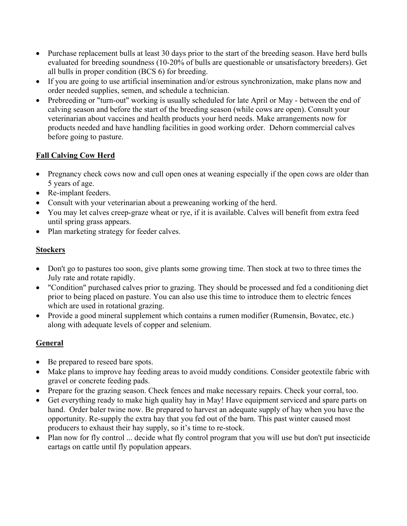- Purchase replacement bulls at least 30 days prior to the start of the breeding season. Have herd bulls evaluated for breeding soundness (10-20% of bulls are questionable or unsatisfactory breeders). Get all bulls in proper condition (BCS 6) for breeding.
- If you are going to use artificial insemination and/or estrous synchronization, make plans now and order needed supplies, semen, and schedule a technician.
- Prebreeding or "turn-out" working is usually scheduled for late April or May between the end of calving season and before the start of the breeding season (while cows are open). Consult your veterinarian about vaccines and health products your herd needs. Make arrangements now for products needed and have handling facilities in good working order. Dehorn commercial calves before going to pasture.

### **Fall Calving Cow Herd**

- Pregnancy check cows now and cull open ones at weaning especially if the open cows are older than 5 years of age.
- Re-implant feeders.
- Consult with your veterinarian about a preweaning working of the herd.
- You may let calves creep-graze wheat or rye, if it is available. Calves will benefit from extra feed until spring grass appears.
- Plan marketing strategy for feeder calves.

### **Stockers**

- Don't go to pastures too soon, give plants some growing time. Then stock at two to three times the July rate and rotate rapidly.
- "Condition" purchased calves prior to grazing. They should be processed and fed a conditioning diet prior to being placed on pasture. You can also use this time to introduce them to electric fences which are used in rotational grazing.
- Provide a good mineral supplement which contains a rumen modifier (Rumensin, Bovatec, etc.) along with adequate levels of copper and selenium.

### **General**

- Be prepared to reseed bare spots.
- Make plans to improve hay feeding areas to avoid muddy conditions. Consider geotextile fabric with gravel or concrete feeding pads.
- Prepare for the grazing season. Check fences and make necessary repairs. Check your corral, too.
- Get everything ready to make high quality hay in May! Have equipment serviced and spare parts on hand. Order baler twine now. Be prepared to harvest an adequate supply of hay when you have the opportunity. Re-supply the extra hay that you fed out of the barn. This past winter caused most producers to exhaust their hay supply, so it's time to re-stock.
- Plan now for fly control ... decide what fly control program that you will use but don't put insecticide eartags on cattle until fly population appears.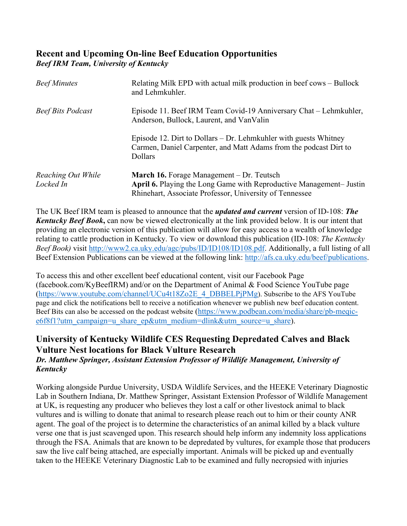### **Recent and Upcoming On-line Beef Education Opportunities** *Beef IRM Team, University of Kentucky*

| <b>Beef Minutes</b>             | Relating Milk EPD with actual milk production in beef cows - Bullock<br>and Lehmkuhler.                                                                                            |  |  |  |
|---------------------------------|------------------------------------------------------------------------------------------------------------------------------------------------------------------------------------|--|--|--|
| <b>Beef Bits Podcast</b>        | Episode 11. Beef IRM Team Covid-19 Anniversary Chat - Lehmkuhler,<br>Anderson, Bullock, Laurent, and VanValin                                                                      |  |  |  |
|                                 | Episode 12. Dirt to Dollars $-$ Dr. Lehmkuhler with guests Whitney<br>Carmen, Daniel Carpenter, and Matt Adams from the podcast Dirt to<br><b>Dollars</b>                          |  |  |  |
| Reaching Out While<br>Locked In | <b>March 16.</b> Forage Management – Dr. Teutsch<br>April 6. Playing the Long Game with Reproductive Management- Justin<br>Rhinehart, Associate Professor, University of Tennessee |  |  |  |

The UK Beef IRM team is pleased to announce that the *updated and current* version of ID-108: *The Kentucky Beef Book***,** can now be viewed electronically at the link provided below. It is our intent that providing an electronic version of this publication will allow for easy access to a wealth of knowledge relating to cattle production in Kentucky. To view or download this publication (ID-108: *The Kentucky Beef Book)* visit [http://www2.ca.uky.edu/agc/pubs/ID/ID108/ID108.pdf.](https://nam04.safelinks.protection.outlook.com/?url=http%3A%2F%2Fwww2.ca.uky.edu%2Fagc%2Fpubs%2FID%2FID108%2FID108.pdf&data=04%7C01%7Cbenjamin.crites%40uky.edu%7Cc5522d1141dd45ba45ad08d8ee22b3ce%7C2b30530b69b64457b818481cb53d42ae%7C0%7C0%7C637521180093252784%7CUnknown%7CTWFpbGZsb3d8eyJWIjoiMC4wLjAwMDAiLCJQIjoiV2luMzIiLCJBTiI6Ik1haWwiLCJXVCI6Mn0%3D%7C1000&sdata=kxNCFOmAhuUUBrGmx%2Bm2T3DUSTxaS5%2F2POlghkrPW4s%3D&reserved=0) Additionally, a full listing of all Beef Extension Publications can be viewed at the following link: [http://afs.ca.uky.edu/beef/publications.](http://afs.ca.uky.edu/beef/publications)

To access this and other excellent beef educational content, visit our Facebook Page (facebook.com/KyBeefIRM) and/or on the Department of Animal & Food Science YouTube page [\(https://www.youtube.com/channel/UCu4t18Zo2E\\_4\\_DBBELPjPMg\)](https://www.youtube.com/channel/UCu4t18Zo2E_4_DBBELPjPMg). Subscribe to the AFS YouTube page and click the notifications bell to receive a notification whenever we publish new beef education content. Beef Bits can also be accessed on the podcast website [\(https://www.podbean.com/media/share/pb-meqic](https://www.podbean.com/media/share/pb-meqic-e6f8f1?utm_campaign=u_share_ep&utm_medium=dlink&utm_source=u_share)[e6f8f1?utm\\_campaign=u\\_share\\_ep&utm\\_medium=dlink&utm\\_source=u\\_share\)](https://www.podbean.com/media/share/pb-meqic-e6f8f1?utm_campaign=u_share_ep&utm_medium=dlink&utm_source=u_share).

### **University of Kentucky Wildlife CES Requesting Depredated Calves and Black Vulture Nest locations for Black Vulture Research** *Dr. Matthew Springer, Assistant Extension Professor of Wildlife Management, University of Kentucky*

Working alongside Purdue University, USDA Wildlife Services, and the HEEKE Veterinary Diagnostic Lab in Southern Indiana, Dr. Matthew Springer, Assistant Extension Professor of Wildlife Management at UK, is requesting any producer who believes they lost a calf or other livestock animal to black vultures and is willing to donate that animal to research please reach out to him or their county ANR agent. The goal of the project is to determine the characteristics of an animal killed by a black vulture verse one that is just scavenged upon. This research should help inform any indemnity loss applications through the FSA. Animals that are known to be depredated by vultures, for example those that producers saw the live calf being attached, are especially important. Animals will be picked up and eventually taken to the HEEKE Veterinary Diagnostic Lab to be examined and fully necropsied with injuries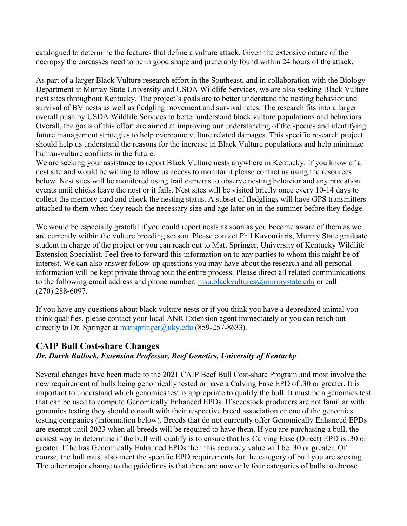catalogued to determine the features that define a vulture attack. Given the extensive nature of the necropsy the carcasses need to be in good shape and preferably found within 24 hours of the attack.

As part of a larger Black Vulture research effort in the Southeast, and in collaboration with the Biology Department at Murray State University and USDA Wildlife Services, we are also seeking Black Vulture nest sites throughout Kentucky. The project's goals are to better understand the nesting behavior and survival of BV nests as well as fledgling movement and survival rates. The research fits into a larger overall push by USDA Wildlife Services to better understand black vulture populations and behaviors. Overall, the goals of this effort are aimed at improving our understanding of the species and identifying future management strategies to help overcome vulture related damages. This specific research project should help us understand the reasons for the increase in Black Vulture populations and help minimize human-vulture conflicts in the future.

We are seeking your assistance to report Black Vulture nests anywhere in Kentucky. If you know of a nest site and would be willing to allow us access to monitor it please contact us using the resources below. Nest sites will be monitored using trail cameras to observe nesting behavior and any predation events until chicks leave the nest or it fails. Nest sites will be visited briefly once every 10-14 days to collect the memory card and check the nesting status. A subset of fledglings will have GPS transmitters attached to them when they reach the necessary size and age later on in the summer before they fledge.

We would be especially grateful if you could report nests as soon as you become aware of them as we are currently within the vulture breeding season. Please contact Phil Kavouriaris, Murray State graduate student in charge of the project or you can reach out to Matt Springer, University of Kentucky Wildlife Extension Specialist. Feel free to forward this information on to any parties to whom this might be of interest. We can also answer follow-up questions you may have about the research and all personal information will be kept private throughout the entire process. Please direct all related communications to the following email address and phone number:  $msu.blackvultures@murraystate.edu$  or call (270) 288-6097.

If you have any questions about black vulture nests or if you think you have a depredated animal you think qualifies, please contact your local ANR Extension agent immediately or you can reach out directly to Dr. Springer at [mattspringer@uky.edu](mailto:mattspringer@uky.edu) (859-257-8633).

### **CAIP Bull Cost-share Changes**

### *Dr. Darrh Bullock, Extension Professor, Beef Genetics, University of Kentucky*

Several changes have been made to the 2021 CAIP Beef Bull Cost-share Program and most involve the new requirement of bulls being genomically tested or have a Calving Ease EPD of .30 or greater. It is important to understand which genomics test is appropriate to qualify the bull. It must be a genomics test that can be used to compute Genomically Enhanced EPDs. If seedstock producers are not familiar with genomics testing they should consult with their respective breed association or one of the genomics testing companies (information below). Breeds that do not currently offer Genomically Enhanced EPDs are exempt until 2023 when all breeds will be required to have them. If you are purchasing a bull, the easiest way to determine if the bull will qualify is to ensure that his Calving Ease (Direct) EPD is .30 or greater. If he has Genomically Enhanced EPDs then this accuracy value will be .30 or greater. Of course, the bull must also meet the specific EPD requirements for the category of bull you are seeking. The other major change to the guidelines is that there are now only four categories of bulls to choose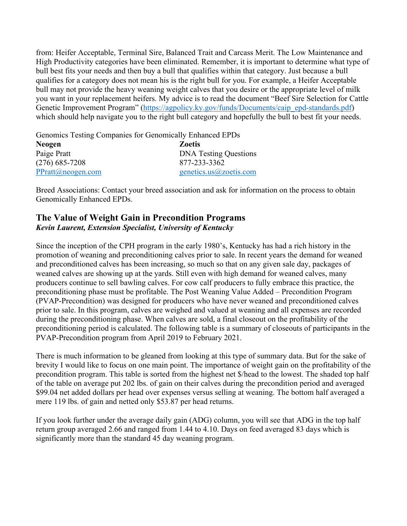from: Heifer Acceptable, Terminal Sire, Balanced Trait and Carcass Merit. The Low Maintenance and High Productivity categories have been eliminated. Remember, it is important to determine what type of bull best fits your needs and then buy a bull that qualifies within that category. Just because a bull qualifies for a category does not mean his is the right bull for you. For example, a Heifer Acceptable bull may not provide the heavy weaning weight calves that you desire or the appropriate level of milk you want in your replacement heifers. My advice is to read the document "Beef Sire Selection for Cattle Genetic Improvement Program" [\(https://agpolicy.ky.gov/funds/Documents/caip\\_epd-standards.pdf\)](https://agpolicy.ky.gov/funds/Documents/caip_epd-standards.pdf) which should help navigate you to the right bull category and hopefully the bull to best fit your needs.

Genomics Testing Companies for Genomically Enhanced EPDs **Neogen Zoetis** Paige Pratt DNA Testing Questions (276) 685-7208 877-233-3362 [PPratt@neogen.com](mailto:PPratt@neogen.com) [genetics.us@zoetis.com](mailto:genetics.us@zoetis.com)

Breed Associations: Contact your breed association and ask for information on the process to obtain Genomically Enhanced EPDs.

### **The Value of Weight Gain in Precondition Programs** *Kevin Laurent, Extension Specialist, University of Kentucky*

Since the inception of the CPH program in the early 1980's, Kentucky has had a rich history in the promotion of weaning and preconditioning calves prior to sale. In recent years the demand for weaned and preconditioned calves has been increasing, so much so that on any given sale day, packages of weaned calves are showing up at the yards. Still even with high demand for weaned calves, many producers continue to sell bawling calves. For cow calf producers to fully embrace this practice, the preconditioning phase must be profitable. The Post Weaning Value Added – Precondition Program (PVAP-Precondition) was designed for producers who have never weaned and preconditioned calves prior to sale. In this program, calves are weighed and valued at weaning and all expenses are recorded during the preconditioning phase. When calves are sold, a final closeout on the profitability of the preconditioning period is calculated. The following table is a summary of closeouts of participants in the PVAP-Precondition program from April 2019 to February 2021.

There is much information to be gleaned from looking at this type of summary data. But for the sake of brevity I would like to focus on one main point. The importance of weight gain on the profitability of the precondition program. This table is sorted from the highest net \$/head to the lowest. The shaded top half of the table on average put 202 lbs. of gain on their calves during the precondition period and averaged \$99.04 net added dollars per head over expenses versus selling at weaning. The bottom half averaged a mere 119 lbs. of gain and netted only \$53.87 per head returns.

If you look further under the average daily gain (ADG) column, you will see that ADG in the top half return group averaged 2.66 and ranged from 1.44 to 4.10. Days on feed averaged 83 days which is significantly more than the standard 45 day weaning program.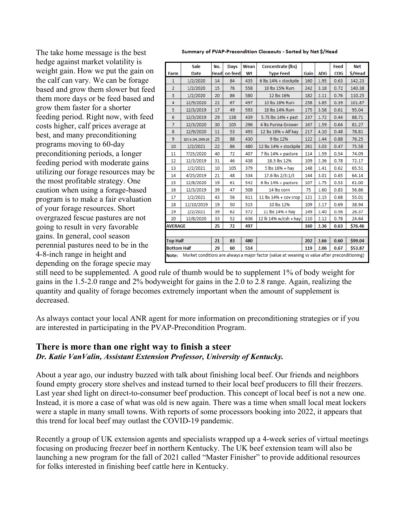The take home message is the best hedge against market volatility is weight gain. How we put the gain on the calf can vary. We can be forage based and grow them slower but feed them more days or be feed based and grow them faster for a shorter feeding period. Right now, with feed costs higher, calf prices average at best, and many preconditioning programs moving to 60-day preconditioning periods, a longer feeding period with moderate gains utilizing our forage resources may be the most profitable strategy. One caution when using a forage-based program is to make a fair evaluation of your forage resources. Short overgrazed fescue pastures are not going to result in very favorable gains. In general, cool season perennial pastures need to be in the 4-8-inch range in height and depending on the forage specie may

Summary of PVAP-Precondition Closeouts - Sorted by Net \$/Head

|                                                                                                        | <b>Sale</b>         | No.         | Days    | Wean | Concentrate (lbs)                |      |            | Feed       | <b>Net</b> |  |
|--------------------------------------------------------------------------------------------------------|---------------------|-------------|---------|------|----------------------------------|------|------------|------------|------------|--|
| Farm                                                                                                   | <b>Date</b>         | <b>Head</b> | on feed | Wt   | <b>Type Feed</b>                 | Gain | <b>ADG</b> | <b>COG</b> | \$/Head    |  |
| $\mathbf{1}$                                                                                           | 1/2/2020            | 14          | 84      | 435  | 6 lbs 14% + stockpile            | 160  | 1.95       | 0.63       | 142.23     |  |
| $\overline{2}$                                                                                         | 1/2/2020            | 15          | 76      | 558  | 18 lbs 15% Rum                   | 242  | 3.18       | 0.72       | 140.38     |  |
| $\overline{3}$                                                                                         | 1/2/2020            | 20          | 86      | 580  | 12 lbs 16%                       | 182  | 2.11       | 0.76       | 110.25     |  |
| 4                                                                                                      | 12/9/2020           | 22          | 67      | 497  | 10 lbs 16% Rum                   | 258  | 3.85       | 0.39       | 101.87     |  |
| 5                                                                                                      | 12/3/2019           | 17          | 49      | 593  | 18 lbs 14% Rum                   | 175  | 3.58       | 0.61       | 95.04      |  |
| 6                                                                                                      | 12/3/2019           | 29          | 138     | 439  | 5.75 lbs 14% + past              | 237  | 1.72       | 0.44       | 88.71      |  |
| $\overline{7}$                                                                                         | 12/3/2020           | 30          | 105     | 296  | 4 lbs Purina Grower              | 167  | 1.59       | 0.64       | 81.27      |  |
| 8                                                                                                      | 12/9/2020           | 11          | 53      | 493  | 12 lbs 16% + Alf hay             | 217  | 4.10       | 0.48       | 78.81      |  |
| 9                                                                                                      | 12/3 & 2/4, 2019-20 | 25          | 88      | 430  | 9 lbs 12%                        | 122  | 1.44       | 0.88       | 76.25      |  |
| 10                                                                                                     | 2/2/2021            | 22          | 86      | 480  | 12 lbs 14% + stockpile           | 261  | 3.03       | 0.47       | 75.58      |  |
| 11                                                                                                     | 7/25/2020           | 40          | 72      | 407  | 7 lbs 14% + pasture              | 114  | 1.59       | 0.54       | 74.09      |  |
| 12                                                                                                     | 12/3/2019           | 31          | 46      | 438  | 18.5 lbs 12%                     | 109  | 2.36       | 0.78       | 72.17      |  |
| 13                                                                                                     | 2/2/2021            | 10          | 105     | 379  | $5$ lbs $16%$ + hay              | 148  | 1.41       | 0.62       | 65.51      |  |
| 14                                                                                                     | 4/25/2019           | 21          | 48      | 534  | 17.6 lbs 2/3:1/3                 | 144  | 3.01       | 0.65       | 64.14      |  |
| 15                                                                                                     | 12/8/2020           | 19          | 61      | 542  | $6$ lbs $14%$ + pasture          | 107  | 1.75       | 0.53       | 61.00      |  |
| 16                                                                                                     | 12/3/2019           | 39          | 47      | 508  | 14 lbs corn                      | 75   | 1.60       | 0.83       | 56.86      |  |
| 17                                                                                                     | 2/2/2021            | 43          | 56      | 611  | 11 $\text{lbs } 14\%$ + cov crop | 121  | 2.15       | 0.68       | 55.01      |  |
| 18                                                                                                     | 12/10/2019          | 19          | 50      | 515  | 10 lbs 12%                       | 109  | 2.17       | 0.69       | 38.94      |  |
| 19                                                                                                     | 2/2/2021            | 39          | 62      | 572  | 11 lbs 14% + hay                 | 149  | 2.40       | 0.56       | 26.37      |  |
| 20                                                                                                     | 12/8/2020           | 33          | 52      | 636  | 12 lb 14% w/csh + hay            | 110  | 2.12       | 0.78       | 24.64      |  |
| <b>AVERAGE</b>                                                                                         |                     | 25          | 72      | 497  |                                  | 160  | 2.36       | 0.63       | \$76.46    |  |
|                                                                                                        |                     |             |         |      |                                  |      |            |            |            |  |
| <b>Top Half</b>                                                                                        |                     | 21          | 83      | 480  |                                  | 202  | 2.66       | 0.60       | \$99.04    |  |
| <b>Bottom Half</b>                                                                                     |                     | 29          | 60      | 514  |                                  | 119  | 2.06       | 0.67       | \$53.87    |  |
| Market conditions are always a major factor (value at weaning vs value after preconditioning)<br>Note: |                     |             |         |      |                                  |      |            |            |            |  |

still need to be supplemented. A good rule of thumb would be to supplement 1% of body weight for gains in the 1.5-2.0 range and 2% bodyweight for gains in the 2.0 to 2.8 range. Again, realizing the quantity and quality of forage becomes extremely important when the amount of supplement is decreased.

As always contact your local ANR agent for more information on preconditioning strategies or if you are interested in participating in the PVAP-Precondition Program.

### **There is more than one right way to finish a steer**  *Dr. Katie VanValin, Assistant Extension Professor, University of Kentucky.*

About a year ago, our industry buzzed with talk about finishing local beef. Our friends and neighbors found empty grocery store shelves and instead turned to their local beef producers to fill their freezers. Last year shed light on direct-to-consumer beef production. This concept of local beef is not a new one. Instead, it is more a case of what was old is new again. There was a time when small local meat lockers were a staple in many small towns. With reports of some processors booking into 2022, it appears that this trend for local beef may outlast the COVID-19 pandemic.

Recently a group of UK extension agents and specialists wrapped up a 4-week series of virtual meetings focusing on producing freezer beef in northern Kentucky. The UK beef extension team will also be launching a new program for the fall of 2021 called "Master Finisher" to provide additional resources for folks interested in finishing beef cattle here in Kentucky.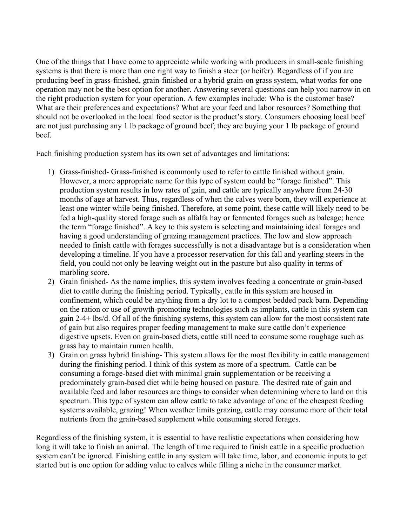One of the things that I have come to appreciate while working with producers in small-scale finishing systems is that there is more than one right way to finish a steer (or heifer). Regardless of if you are producing beef in grass-finished, grain-finished or a hybrid grain-on grass system, what works for one operation may not be the best option for another. Answering several questions can help you narrow in on the right production system for your operation. A few examples include: Who is the customer base? What are their preferences and expectations? What are your feed and labor resources? Something that should not be overlooked in the local food sector is the product's story. Consumers choosing local beef are not just purchasing any 1 lb package of ground beef; they are buying your 1 lb package of ground beef.

Each finishing production system has its own set of advantages and limitations:

- 1) Grass-finished- Grass-finished is commonly used to refer to cattle finished without grain. However, a more appropriate name for this type of system could be "forage finished". This production system results in low rates of gain, and cattle are typically anywhere from 24-30 months of age at harvest. Thus, regardless of when the calves were born, they will experience at least one winter while being finished. Therefore, at some point, these cattle will likely need to be fed a high-quality stored forage such as alfalfa hay or fermented forages such as baleage; hence the term "forage finished". A key to this system is selecting and maintaining ideal forages and having a good understanding of grazing management practices. The low and slow approach needed to finish cattle with forages successfully is not a disadvantage but is a consideration when developing a timeline. If you have a processor reservation for this fall and yearling steers in the field, you could not only be leaving weight out in the pasture but also quality in terms of marbling score.
- 2) Grain finished- As the name implies, this system involves feeding a concentrate or grain-based diet to cattle during the finishing period. Typically, cattle in this system are housed in confinement, which could be anything from a dry lot to a compost bedded pack barn. Depending on the ration or use of growth-promoting technologies such as implants, cattle in this system can gain 2-4+ lbs/d. Of all of the finishing systems, this system can allow for the most consistent rate of gain but also requires proper feeding management to make sure cattle don't experience digestive upsets. Even on grain-based diets, cattle still need to consume some roughage such as grass hay to maintain rumen health.
- 3) Grain on grass hybrid finishing- This system allows for the most flexibility in cattle management during the finishing period. I think of this system as more of a spectrum. Cattle can be consuming a forage-based diet with minimal grain supplementation or be receiving a predominately grain-based diet while being housed on pasture. The desired rate of gain and available feed and labor resources are things to consider when determining where to land on this spectrum. This type of system can allow cattle to take advantage of one of the cheapest feeding systems available, grazing! When weather limits grazing, cattle may consume more of their total nutrients from the grain-based supplement while consuming stored forages.

Regardless of the finishing system, it is essential to have realistic expectations when considering how long it will take to finish an animal. The length of time required to finish cattle in a specific production system can't be ignored. Finishing cattle in any system will take time, labor, and economic inputs to get started but is one option for adding value to calves while filling a niche in the consumer market.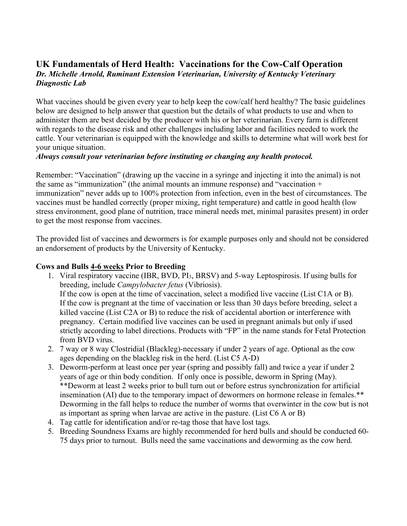### **UK Fundamentals of Herd Health: Vaccinations for the Cow-Calf Operation** *Dr. Michelle Arnold, Ruminant Extension Veterinarian, University of Kentucky Veterinary Diagnostic Lab*

What vaccines should be given every year to help keep the cow/calf herd healthy? The basic guidelines below are designed to help answer that question but the details of what products to use and when to administer them are best decided by the producer with his or her veterinarian. Every farm is different with regards to the disease risk and other challenges including labor and facilities needed to work the cattle. Your veterinarian is equipped with the knowledge and skills to determine what will work best for your unique situation.

### *Always consult your veterinarian before instituting or changing any health protocol.*

Remember: "Vaccination" (drawing up the vaccine in a syringe and injecting it into the animal) is not the same as "immunization" (the animal mounts an immune response) and "vaccination + immunization" never adds up to 100% protection from infection, even in the best of circumstances. The vaccines must be handled correctly (proper mixing, right temperature) and cattle in good health (low stress environment, good plane of nutrition, trace mineral needs met, minimal parasites present) in order to get the most response from vaccines.

The provided list of vaccines and dewormers is for example purposes only and should not be considered an endorsement of products by the University of Kentucky.

### **Cows and Bulls 4-6 weeks Prior to Breeding**

- 1. Viral respiratory vaccine (IBR, BVD, PI3, BRSV) and 5-way Leptospirosis. If using bulls for breeding, include *Campylobacter fetus* (Vibriosis). If the cow is open at the time of vaccination, select a modified live vaccine (List C1A or B). If the cow is pregnant at the time of vaccination or less than 30 days before breeding, select a killed vaccine (List C2A or B) to reduce the risk of accidental abortion or interference with pregnancy. Certain modified live vaccines can be used in pregnant animals but only if used strictly according to label directions. Products with "FP" in the name stands for Fetal Protection from BVD virus.
- 2. 7 way or 8 way Clostridial (Blackleg)-necessary if under 2 years of age. Optional as the cow ages depending on the blackleg risk in the herd. (List C5 A-D)
- 3. Deworm-perform at least once per year (spring and possibly fall) and twice a year if under 2 years of age or thin body condition. If only once is possible, deworm in Spring (May). \*\*Deworm at least 2 weeks prior to bull turn out or before estrus synchronization for artificial insemination (AI) due to the temporary impact of dewormers on hormone release in females.\*\* Deworming in the fall helps to reduce the number of worms that overwinter in the cow but is not as important as spring when larvae are active in the pasture. (List C6 A or B)
- 4. Tag cattle for identification and/or re-tag those that have lost tags.
- 5. Breeding Soundness Exams are highly recommended for herd bulls and should be conducted 60- 75 days prior to turnout. Bulls need the same vaccinations and deworming as the cow herd.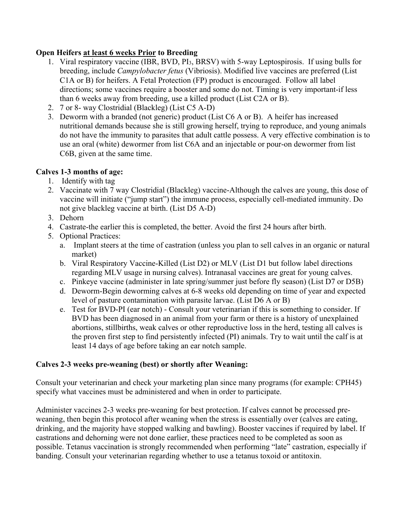### **Open Heifers at least 6 weeks Prior to Breeding**

- 1. Viral respiratory vaccine (IBR, BVD, PI3, BRSV) with 5-way Leptospirosis. If using bulls for breeding, include *Campylobacter fetus* (Vibriosis). Modified live vaccines are preferred (List C1A or B) for heifers. A Fetal Protection (FP) product is encouraged. Follow all label directions; some vaccines require a booster and some do not. Timing is very important-if less than 6 weeks away from breeding, use a killed product (List C2A or B).
- 2. 7 or 8- way Clostridial (Blackleg) (List C5 A-D)
- 3. Deworm with a branded (not generic) product (List C6 A or B). A heifer has increased nutritional demands because she is still growing herself, trying to reproduce, and young animals do not have the immunity to parasites that adult cattle possess. A very effective combination is to use an oral (white) dewormer from list C6A and an injectable or pour-on dewormer from list C6B, given at the same time.

### **Calves 1-3 months of age:**

- 1. Identify with tag
- 2. Vaccinate with 7 way Clostridial (Blackleg) vaccine-Although the calves are young, this dose of vaccine will initiate ("jump start") the immune process, especially cell-mediated immunity. Do not give blackleg vaccine at birth. (List D5 A-D)
- 3. Dehorn
- 4. Castrate-the earlier this is completed, the better. Avoid the first 24 hours after birth.
- 5. Optional Practices:
	- a. Implant steers at the time of castration (unless you plan to sell calves in an organic or natural market)
	- b. Viral Respiratory Vaccine-Killed (List D2) or MLV (List D1 but follow label directions regarding MLV usage in nursing calves). Intranasal vaccines are great for young calves.
	- c. Pinkeye vaccine (administer in late spring/summer just before fly season) (List D7 or D5B)
	- d. Deworm-Begin deworming calves at 6-8 weeks old depending on time of year and expected level of pasture contamination with parasite larvae. (List D6 A or B)
	- e. Test for BVD-PI (ear notch) Consult your veterinarian if this is something to consider. If BVD has been diagnosed in an animal from your farm or there is a history of unexplained abortions, stillbirths, weak calves or other reproductive loss in the herd, testing all calves is the proven first step to find persistently infected (PI) animals. Try to wait until the calf is at least 14 days of age before taking an ear notch sample.

### **Calves 2-3 weeks pre-weaning (best) or shortly after Weaning:**

Consult your veterinarian and check your marketing plan since many programs (for example: CPH45) specify what vaccines must be administered and when in order to participate.

Administer vaccines 2-3 weeks pre-weaning for best protection. If calves cannot be processed preweaning, then begin this protocol after weaning when the stress is essentially over (calves are eating, drinking, and the majority have stopped walking and bawling). Booster vaccines if required by label. If castrations and dehorning were not done earlier, these practices need to be completed as soon as possible. Tetanus vaccination is strongly recommended when performing "late" castration, especially if banding. Consult your veterinarian regarding whether to use a tetanus toxoid or antitoxin.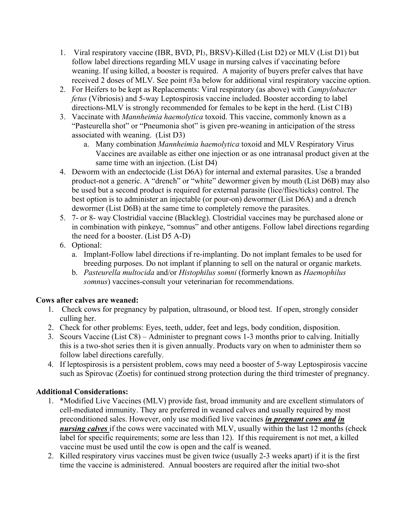- 1. Viral respiratory vaccine (IBR, BVD, PI3, BRSV)-Killed (List D2) or MLV (List D1) but follow label directions regarding MLV usage in nursing calves if vaccinating before weaning. If using killed, a booster is required. A majority of buyers prefer calves that have received 2 doses of MLV. See point #3a below for additional viral respiratory vaccine option.
- 2. For Heifers to be kept as Replacements: Viral respiratory (as above) with *Campylobacter fetus* (Vibriosis) and 5-way Leptospirosis vaccine included. Booster according to label directions-MLV is strongly recommended for females to be kept in the herd. (List C1B)
- 3. Vaccinate with *Mannheimia haemolytica* toxoid. This vaccine, commonly known as a "Pasteurella shot" or "Pneumonia shot" is given pre-weaning in anticipation of the stress associated with weaning. (List D3)
	- a. Many combination *Mannheimia haemolytica* toxoid and MLV Respiratory Virus Vaccines are available as either one injection or as one intranasal product given at the same time with an injection. (List D4)
- 4. Deworm with an endectocide (List D6A) for internal and external parasites. Use a branded product-not a generic. A "drench" or "white" dewormer given by mouth (List D6B) may also be used but a second product is required for external parasite (lice/flies/ticks) control. The best option is to administer an injectable (or pour-on) dewormer (List D6A) and a drench dewormer (List D6B) at the same time to completely remove the parasites.
- 5. 7- or 8- way Clostridial vaccine (Blackleg). Clostridial vaccines may be purchased alone or in combination with pinkeye, "somnus" and other antigens. Follow label directions regarding the need for a booster. (List D5 A-D)
- 6. Optional:
	- a. Implant-Follow label directions if re-implanting. Do not implant females to be used for breeding purposes. Do not implant if planning to sell on the natural or organic markets.
	- b. *Pasteurella multocida* and/or *Histophilus somni* (formerly known as *Haemophilus somnus*) vaccines-consult your veterinarian for recommendations.

### **Cows after calves are weaned:**

- 1. Check cows for pregnancy by palpation, ultrasound, or blood test. If open, strongly consider culling her.
- 2. Check for other problems: Eyes, teeth, udder, feet and legs, body condition, disposition.
- 3. Scours Vaccine (List C8) Administer to pregnant cows 1-3 months prior to calving. Initially this is a two-shot series then it is given annually. Products vary on when to administer them so follow label directions carefully.
- 4. If leptospirosis is a persistent problem, cows may need a booster of 5-way Leptospirosis vaccine such as Spirovac (Zoetis) for continued strong protection during the third trimester of pregnancy.

### **Additional Considerations:**

- 1. \*Modified Live Vaccines (MLV) provide fast, broad immunity and are excellent stimulators of cell-mediated immunity. They are preferred in weaned calves and usually required by most preconditioned sales. However, only use modified live vaccines *in pregnant cows and in nursing calves* if the cows were vaccinated with MLV, usually within the last 12 months (check label for specific requirements; some are less than 12). If this requirement is not met, a killed vaccine must be used until the cow is open and the calf is weaned.
- 2. Killed respiratory virus vaccines must be given twice (usually 2-3 weeks apart) if it is the first time the vaccine is administered. Annual boosters are required after the initial two-shot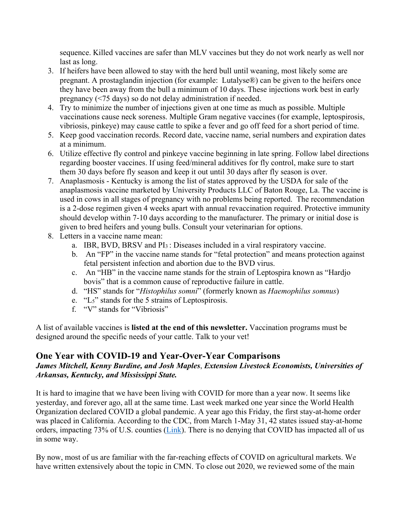sequence. Killed vaccines are safer than MLV vaccines but they do not work nearly as well nor last as long.

- 3. If heifers have been allowed to stay with the herd bull until weaning, most likely some are pregnant. A prostaglandin injection (for example: Lutalyse®) can be given to the heifers once they have been away from the bull a minimum of 10 days. These injections work best in early pregnancy (<75 days) so do not delay administration if needed.
- 4. Try to minimize the number of injections given at one time as much as possible. Multiple vaccinations cause neck soreness. Multiple Gram negative vaccines (for example, leptospirosis, vibriosis, pinkeye) may cause cattle to spike a fever and go off feed for a short period of time.
- 5. Keep good vaccination records. Record date, vaccine name, serial numbers and expiration dates at a minimum.
- 6. Utilize effective fly control and pinkeye vaccine beginning in late spring. Follow label directions regarding booster vaccines. If using feed/mineral additives for fly control, make sure to start them 30 days before fly season and keep it out until 30 days after fly season is over.
- 7. Anaplasmosis Kentucky is among the list of states approved by the USDA for sale of the anaplasmosis vaccine marketed by University Products LLC of Baton Rouge, La. The vaccine is used in cows in all stages of pregnancy with no problems being reported. The recommendation is a 2-dose regimen given 4 weeks apart with annual revaccination required. Protective immunity should develop within 7-10 days according to the manufacturer. The primary or initial dose is given to bred heifers and young bulls. Consult your veterinarian for options.
- 8. Letters in a vaccine name mean:
	- a. IBR, BVD, BRSV and PI3 : Diseases included in a viral respiratory vaccine.
	- b. An "FP" in the vaccine name stands for "fetal protection" and means protection against fetal persistent infection and abortion due to the BVD virus.
	- c. An "HB" in the vaccine name stands for the strain of Leptospira known as "Hardjo bovis" that is a common cause of reproductive failure in cattle.
	- d. "HS" stands for "*Histophilus somni*" (formerly known as *Haemophilus somnus*)
	- e. "L5" stands for the 5 strains of Leptospirosis.
	- f. "V" stands for "Vibriosis"

A list of available vaccines is **listed at the end of this newsletter.** Vaccination programs must be designed around the specific needs of your cattle. Talk to your vet!

### **One Year with COVID-19 and Year-Over-Year Comparisons**

### *James Mitchell, Kenny Burdine, and Josh Maples*, *Extension Livestock Economists, Universities of Arkansas, Kentucky, and Mississippi State.*

It is hard to imagine that we have been living with COVID for more than a year now. It seems like yesterday, and forever ago, all at the same time. Last week marked one year since the World Health Organization declared COVID a global pandemic. A year ago this Friday, the first stay-at-home order was placed in California. According to the CDC, from March 1-May 31, 42 states issued stay-at-home orders, impacting 73% of U.S. counties [\(Link\)](https://www.cdc.gov/mmwr/volumes/69/wr/mm6935a2.htm#:%7E:text=During%20March%201%E2%80%93May%2031%2C%2042%20states%20and%20territories%20issued,by%20California%20(March%2019)). There is no denying that COVID has impacted all of us in some way.

By now, most of us are familiar with the far-reaching effects of COVID on agricultural markets. We have written extensively about the topic in CMN. To close out 2020, we reviewed some of the main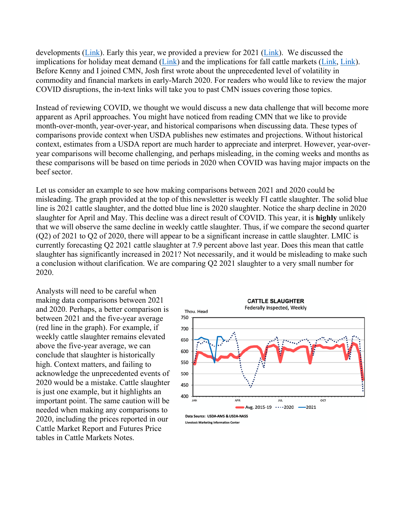developments [\(Link\)](https://mailchi.mp/84dd15eb4048/cattle-market-notes-weekly-18844000?e=35c55ad19b). Early this year, we provided a preview for 2021 [\(Link\)](https://us15.campaign-archive.com/?u=d27b0f8ca2d30ab88ad971a94&id=292df8f64b). We discussed the implications for holiday meat demand [\(Link\)](https://us15.campaign-archive.com/?u=d27b0f8ca2d30ab88ad971a94&id=29526f8dbc) and the implications for fall cattle markets [\(Link,](https://us15.campaign-archive.com/?u=d27b0f8ca2d30ab88ad971a94&id=b85cd43e42) [Link\)](https://us15.campaign-archive.com/?u=d27b0f8ca2d30ab88ad971a94&id=2403e7b755). Before Kenny and I joined CMN, Josh first wrote about the unprecedented level of volatility in commodity and financial markets in early-March 2020. For readers who would like to review the major COVID disruptions, the in-text links will take you to past CMN issues covering those topics.

Instead of reviewing COVID, we thought we would discuss a new data challenge that will become more apparent as April approaches. You might have noticed from reading CMN that we like to provide month-over-month, year-over-year, and historical comparisons when discussing data. These types of comparisons provide context when USDA publishes new estimates and projections. Without historical context, estimates from a USDA report are much harder to appreciate and interpret. However, year-overyear comparisons will become challenging, and perhaps misleading, in the coming weeks and months as these comparisons will be based on time periods in 2020 when COVID was having major impacts on the beef sector.

Let us consider an example to see how making comparisons between 2021 and 2020 could be misleading. The graph provided at the top of this newsletter is weekly FI cattle slaughter. The solid blue line is 2021 cattle slaughter, and the dotted blue line is 2020 slaughter. Notice the sharp decline in 2020 slaughter for April and May. This decline was a direct result of COVID. This year, it is **highly** unlikely that we will observe the same decline in weekly cattle slaughter. Thus, if we compare the second quarter (Q2) of 2021 to Q2 of 2020, there will appear to be a significant increase in cattle slaughter. LMIC is currently forecasting Q2 2021 cattle slaughter at 7.9 percent above last year. Does this mean that cattle slaughter has significantly increased in 2021? Not necessarily, and it would be misleading to make such a conclusion without clarification. We are comparing Q2 2021 slaughter to a very small number for 2020.

Analysts will need to be careful when making data comparisons between 2021 and 2020. Perhaps, a better comparison is between 2021 and the five-year average (red line in the graph). For example, if weekly cattle slaughter remains elevated above the five-year average, we can conclude that slaughter is historically high. Context matters, and failing to acknowledge the unprecedented events of 2020 would be a mistake. Cattle slaughter is just one example, but it highlights an important point. The same caution will be needed when making any comparisons to 2020, including the prices reported in our Cattle Market Report and Futures Price tables in Cattle Markets Notes.

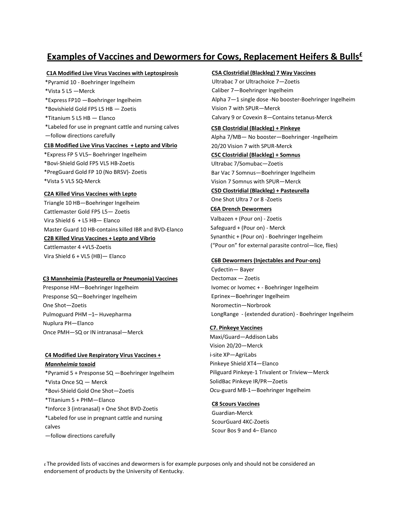### **Examples of Vaccines and Dewormers for Cows, Replacement Heifers & Bulls£**

### **C1A Modified Live Virus Vaccines with Leptospirosis**

\*Pyramid 10 - Boehringer Ingelheim \*Vista 5 L5 —Merck \*Express FP10 —Boehringer Ingelheim \*Bovishield Gold FP5 L5 HB — Zoetis \*Titanium 5 L5 HB — Elanco \*Labeled for use in pregnant cattle and nursing calves —follow directions carefully **C1B Modified Live Virus Vaccines + Lepto and Vibrio** \*Express FP 5 VL5– Boehringer Ingelheim

\*Bovi-Shield Gold FP5 VL5 HB-Zoetis \*PregGuard Gold FP 10 (No BRSV)- Zoetis \*Vista 5 VL5 SQ-Merck

### **C2A Killed Virus Vaccines with Lepto**

Triangle 10 HB—Boehringer Ingelheim Cattlemaster Gold FP5 L5— Zoetis Vira Shield 6 + L5 HB— Elanco Master Guard 10 HB-contains killed IBR and BVD-Elanco **C2B Killed Virus Vaccines + Lepto and Vibrio** Cattlemaster 4 +VL5-Zoetis Vira Shield 6 + VL5 (HB)— Elanco

### **C3 Mannheimia (Pasteurella or Pneumonia) Vaccines**

Presponse HM—Boehringer Ingelheim Presponse SQ—Boehringer Ingelheim One Shot—Zoetis Pulmoguard PHM –1– Huvepharma Nuplura PH—Elanco Once PMH—SQ or IN intranasal—Merck

### **C4 Modified Live Respiratory Virus Vaccines +**

*Mannheimia* **toxoid** \*Pyramid 5 + Presponse SQ —Boehringer Ingelheim \*Vista Once SQ — Merck \*Bovi-Shield Gold One Shot—Zoetis \*Titanium 5 + PHM—Elanco \*Inforce 3 (intranasal) + One Shot BVD-Zoetis \*Labeled for use in pregnant cattle and nursing calves —follow directions carefully

### **C5A Clostridial (Blackleg) 7 Way Vaccines**

Ultrabac 7 or Ultrachoice 7—Zoetis Caliber 7—Boehringer Ingelheim Alpha 7—1 single dose -No booster-Boehringer Ingelheim Vision 7 with SPUR—Merck Calvary 9 or Covexin 8—Contains tetanus-Merck

### **C5B Clostridial (Blackleg) + Pinkeye**

Alpha 7/MB— No booster—Boehringer -Ingelheim 20/20 Vision 7 with SPUR-Merck **C5C Clostridial (Blackleg) + Somnus** Ultrabac 7/Somubac—Zoetis Bar Vac 7 Somnus—Boehringer Ingelheim Vision 7 Somnus with SPUR—Merck **C5D Clostridial (Blackleg) + Pasteurella**

One Shot Ultra 7 or 8 -Zoetis

### **C6A Drench Dewormers**

Valbazen + (Pour on) - Zoetis Safeguard + (Pour on) - Merck Synanthic + (Pour on) - Boehringer Ingelheim ("Pour on" for external parasite control—lice, flies)

### **C6B Dewormers (Injectables and Pour-ons)**

Cydectin— Bayer Dectomax — Zoetis Ivomec or Ivomec + - Boehringer Ingelheim Eprinex—Boehringer Ingelheim Noromectin—Norbrook LongRange - (extended duration) - Boehringer Ingelheim

### **C7. Pinkeye Vaccines**

Maxi/Guard—Addison Labs Vision 20/20—Merck i-site XP—AgriLabs Pinkeye Shield XT4—Elanco Piliguard Pinkeye-1 Trivalent or Triview—Merck SolidBac Pinkeye IR/PR—Zoetis Ocu-guard MB-1—Boehringer Ingelheim

### **C8 Scours Vaccines**

Guardian-Merck ScourGuard 4KC-Zoetis Scour Bos 9 and 4– Elanco

£ The provided lists of vaccines and dewormers is for example purposes only and should not be considered an endorsement of products by the University of Kentucky.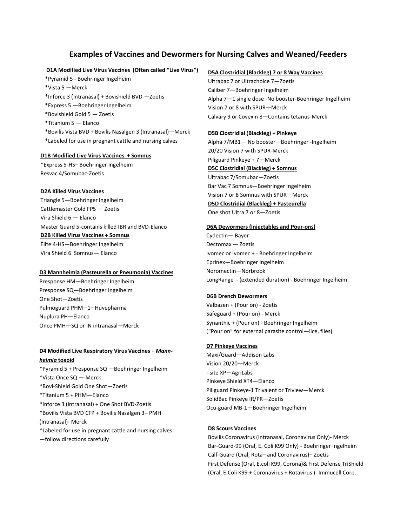### **Examples of Vaccines and Dewormers for Nursing Calves and Weaned/Feeders**

### **D1A Modified Live Virus Vaccines (Often called "Live Virus")**

\*Pyramid 5 - Boehringer Ingelheim \*Vista 5 —Merck \*Inforce 3 (Intranasal) + Bovishield BVD —Zoetis \*Express 5 —Boehringer Ingelheim \*Bovishield Gold 5 — Zoetis \*Titanium 5 — Elanco \*Bovilis Vista BVD + Bovilis Nasalgen 3 (Intranasal)—Merck \*Labeled for use in pregnant cattle and nursing calves

### **D1B Modified Live Virus Vaccines + Somnus**

\*Express 5-HS– Boehringer Ingelheim Resvac 4/Somubac-Zoetis

### **D2A Killed Virus Vaccines**

Triangle 5—Boehringer Ingelheim Cattlemaster Gold FP5 — Zoetis Vira Shield 6 — Elanco Master Guard 5-contains killed IBR and BVD-Elanco **D2B Killed Virus Vaccines + Somnus** Elite 4-HS—Boehringer Ingelheim Vira Shield 6 Somnus— Elanco

### **D3 Mannheimia (Pasteurella or Pneumonia) Vaccines**

Presponse HM—Boehringer Ingelheim Presponse SQ—Boehringer Ingelheim One Shot—Zoetis Pulmoguard PHM –1– Huvepharma Nuplura PH—Elanco Once PMH—SQ or IN intranasal—Merck

### **D4 Modified Live Respiratory Virus Vaccines +** *Mannheimia* **toxoid**

\*Pyramid 5 + Presponse SQ —Boehringer Ingelheim \*Vista Once SQ — Merck \*Bovi-Shield Gold One Shot—Zoetis \*Titanium 5 + PHM—Elanco \*Inforce 3 (intranasal) + One Shot BVD-Zoetis \*Bovilis Vista BVD CFP + Bovilis Nasalgen 3– PMH (Intranasal)- Merck \*Labeled for use in pregnant cattle and nursing calves —follow directions carefully

### **D5A Clostridial (Blackleg) 7 or 8 Way Vaccines**

Ultrabac 7 or Ultrachoice 7—Zoetis Caliber 7—Boehringer Ingelheim Alpha 7—1 single dose -No booster-Boehringer Ingelheim Vision 7 or 8 with SPUR—Merck Calvary 9 or Covexin 8—Contains tetanus-Merck

### **D5B Clostridial (Blackleg) + Pinkeye**

Alpha 7/MB1— No booster—Boehringer -Ingelheim 20/20 Vision 7 with SPUR-Merck Piliguard Pinkeye + 7—Merck **D5C Clostridial (Blackleg) + Somnus** Ultrabac 7/Somubac—Zoetis Bar Vac 7 Somnus—Boehringer Ingelheim Vision 7 or 8 Somnus with SPUR—Merck **D5D Clostridial (Blackleg) + Pasteurella**

One shot Ultra 7 or 8—Zoetis

### **D6A Dewormers (Injectables and Pour-ons)**

Cydectin— Bayer Dectomax — Zoetis Ivomec or Ivomec + - Boehringer Ingelheim Eprinex—Boehringer Ingelheim Noromectin—Norbrook LongRange - (extended duration) - Boehringer Ingelheim

### **D6B Drench Dewormers**

Valbazen + (Pour on) - Zoetis Safeguard + (Pour on) - Merck Synanthic + (Pour on) - Boehringer Ingelheim ("Pour on" for external parasite control—lice, flies)

### **D7 Pinkeye Vaccines**

Maxi/Guard—Addison Labs Vision 20/20—Merck i-site XP—AgriLabs Pinkeye Shield XT4—Elanco Piliguard Pinkeye-1 Trivalent or Triview—Merck SolidBac Pinkeye IR/PR—Zoetis Ocu-guard MB-1—Boehringer Ingelheim

### **D8 Scours Vaccines**

Bovilis Coronavirus (Intranasal, Coronavirus Only)- Merck Bar-Guard-99 (Oral, E. Coli K99 Only) - Boehringer Ingelheim Calf-Guard (Oral, Rota– and Coronavirus)– Zoetis First Defense (Oral, E.coli K99, Corona)& First Defense TriShield (Oral, E.Coli K99 + Coronavirus + Rotavirus )- Immucell Corp.